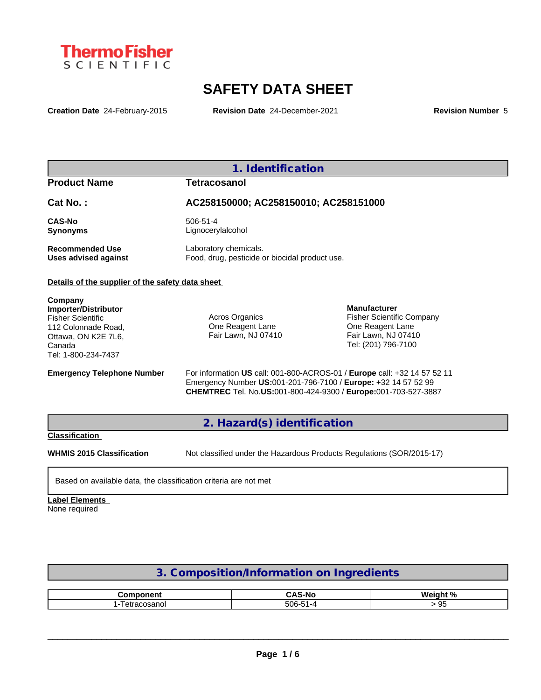

# **SAFETY DATA SHEET**

**Creation Date** 24-February-2015 **Revision Date** 24-December-2021 **Revision Number** 5

# **1. Identification**

**Product Name Tetracosanol**

# **Cat No. : AC258150000; AC258150010; AC258151000**

**CAS-No** 506-51-4 **Synonyms** Lignocerylalcohol

**Recommended Use** Laboratory chemicals.<br> **Uses advised against** Food, drug, pesticide of Food, drug, pesticide or biocidal product use.

#### **Details of the supplier of the safety data sheet**

**Company Importer/Distributor** Fisher Scientific 112 Colonnade Road, Ottawa, ON K2E 7L6, Canada Tel: 1-800-234-7437

Acros Organics One Reagent Lane Fair Lawn, NJ 07410

**Manufacturer** Fisher Scientific Company One Reagent Lane Fair Lawn, NJ 07410 Tel: (201) 796-7100

**Emergency Telephone Number** For information **US** call: 001-800-ACROS-01 / **Europe** call: +32 14 57 52 11 Emergency Number **US:**001-201-796-7100 / **Europe:** +32 14 57 52 99 **CHEMTREC** Tel. No.**US:**001-800-424-9300 / **Europe:**001-703-527-3887

## **2. Hazard(s) identification**

**Classification**

**WHMIS 2015 Classification** Not classified under the Hazardous Products Regulations (SOR/2015-17)

Based on available data, the classification criteria are not met

## **Label Elements**

None required

# **3. Composition/Information on Ingredients**

| ------------<br>nm.<br>m | へいてい<br>-No<br>$\sim$<br>. .        | <b>Wainh</b><br>* 01 |
|--------------------------|-------------------------------------|----------------------|
| 00000<br>anu             | $-$<br>$\sim$ $\sim$<br>' ห-<br>ovu | ັບ                   |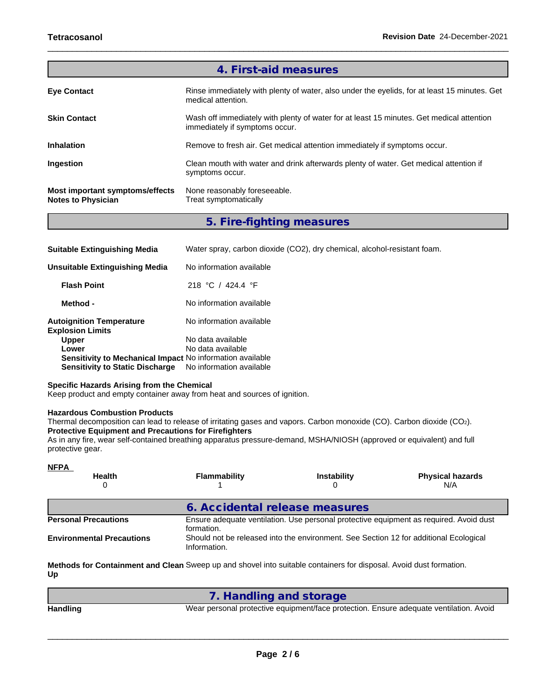|                                                              | 4. First-aid measures                                                                                                      |
|--------------------------------------------------------------|----------------------------------------------------------------------------------------------------------------------------|
| <b>Eye Contact</b>                                           | Rinse immediately with plenty of water, also under the eyelids, for at least 15 minutes. Get<br>medical attention.         |
| <b>Skin Contact</b>                                          | Wash off immediately with plenty of water for at least 15 minutes. Get medical attention<br>immediately if symptoms occur. |
| <b>Inhalation</b>                                            | Remove to fresh air. Get medical attention immediately if symptoms occur.                                                  |
| <b>Ingestion</b>                                             | Clean mouth with water and drink afterwards plenty of water. Get medical attention if<br>symptoms occur.                   |
| Most important symptoms/effects<br><b>Notes to Physician</b> | None reasonably foreseeable.<br>Treat symptomatically                                                                      |

**5. Fire-fighting measures**

| <b>Suitable Extinguishing Media</b>                        | Water spray, carbon dioxide (CO2), dry chemical, alcohol-resistant foam. |
|------------------------------------------------------------|--------------------------------------------------------------------------|
| Unsuitable Extinguishing Media                             | No information available                                                 |
| <b>Flash Point</b>                                         | 218 °C / 424.4 °F                                                        |
| Method -                                                   | No information available                                                 |
| <b>Autoignition Temperature</b><br><b>Explosion Limits</b> | No information available                                                 |
| <b>Upper</b>                                               | No data available                                                        |
| Lower                                                      | No data available                                                        |
| Sensitivity to Mechanical Impact No information available  |                                                                          |
| <b>Sensitivity to Static Discharge</b>                     | No information available                                                 |

#### **Specific Hazards Arising from the Chemical**

Keep product and empty container away from heat and sources of ignition.

#### **Hazardous Combustion Products**

Thermal decomposition can lead to release of irritating gases and vapors. Carbon monoxide (CO). Carbon dioxide (CO2). **Protective Equipment and Precautions for Firefighters**

As in any fire, wear self-contained breathing apparatus pressure-demand, MSHA/NIOSH (approved or equivalent) and full protective gear.

| <b>NFPA</b>                      |                     |                                                                                       |                                                                                        |
|----------------------------------|---------------------|---------------------------------------------------------------------------------------|----------------------------------------------------------------------------------------|
| <b>Health</b><br>0               | <b>Flammability</b> | <b>Instability</b>                                                                    | <b>Physical hazards</b><br>N/A                                                         |
|                                  |                     | 6. Accidental release measures                                                        |                                                                                        |
| <b>Personal Precautions</b>      | formation.          |                                                                                       | Ensure adequate ventilation. Use personal protective equipment as required. Avoid dust |
| <b>Environmental Precautions</b> | Information.        | Should not be released into the environment. See Section 12 for additional Ecological |                                                                                        |
|                                  |                     |                                                                                       |                                                                                        |

**Methods for Containment and Clean** Sweep up and shovel into suitable containers for disposal. Avoid dust formation. **Up**

| Wear personal protective equipment/face protection. Ensure adequate ventilation. Avoid |
|----------------------------------------------------------------------------------------|
|                                                                                        |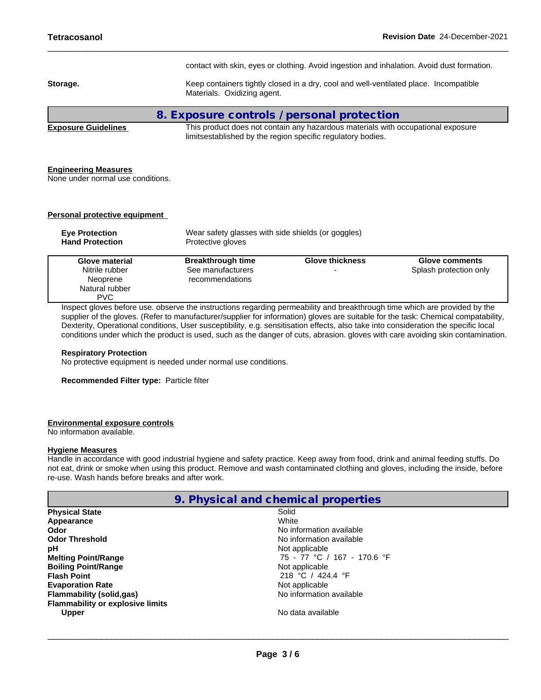| contact with skin, eyes or clothing. Avoid ingestion and inhalation. Avoid dust formation.                                                      |
|-------------------------------------------------------------------------------------------------------------------------------------------------|
| Keep containers tightly closed in a dry, cool and well-ventilated place. Incompatible<br>Materials. Oxidizing agent.                            |
| 8. Exposure controls / personal protection                                                                                                      |
| This product does not contain any hazardous materials with occupational exposure<br>limitsestablished by the region specific regulatory bodies. |
|                                                                                                                                                 |

#### **Engineering Measures**

None under normal use conditions.

**Personal protective equipment**

| <b>Eve Protection</b><br><b>Hand Protection</b> | Protective gloves        | Wear safety glasses with side shields (or goggles) |                        |  |  |  |  |
|-------------------------------------------------|--------------------------|----------------------------------------------------|------------------------|--|--|--|--|
| Glove material                                  | <b>Breakthrough time</b> | <b>Glove thickness</b>                             | <b>Glove comments</b>  |  |  |  |  |
| Nitrile rubber                                  | See manufacturers        |                                                    | Splash protection only |  |  |  |  |
| Neoprene                                        | recommendations          |                                                    |                        |  |  |  |  |
| Natural rubber                                  |                          |                                                    |                        |  |  |  |  |
| <b>PVC</b>                                      |                          |                                                    |                        |  |  |  |  |

Inspect gloves before use. observe the instructions regarding permeability and breakthrough time which are provided by the supplier of the gloves. (Refer to manufacturer/supplier for information) gloves are suitable for the task: Chemical compatability, Dexterity, Operational conditions, User susceptibility, e.g. sensitisation effects, also take into consideration the specific local conditions under which the product is used, such as the danger of cuts, abrasion. gloves with care avoiding skin contamination.

#### **Respiratory Protection**

No protective equipment is needed under normal use conditions.

**Recommended Filter type:** Particle filter

#### **Environmental exposure controls**

No information available.

#### **Hygiene Measures**

Handle in accordance with good industrial hygiene and safety practice. Keep away from food, drink and animal feeding stuffs. Do not eat, drink or smoke when using this product. Remove and wash contaminated clothing and gloves, including the inside, before re-use. Wash hands before breaks and after work.

|                                         | 9. Physical and chemical properties |  |
|-----------------------------------------|-------------------------------------|--|
| <b>Physical State</b>                   | Solid                               |  |
| Appearance                              | White                               |  |
| Odor                                    | No information available            |  |
| <b>Odor Threshold</b>                   | No information available            |  |
| рH                                      | Not applicable                      |  |
| <b>Melting Point/Range</b>              | 75 - 77 °C / 167 - 170.6 °F         |  |
| <b>Boiling Point/Range</b>              | Not applicable                      |  |
| <b>Flash Point</b>                      | 218 °C / 424.4 °F                   |  |
| <b>Evaporation Rate</b>                 | Not applicable                      |  |
| <b>Flammability (solid,gas)</b>         | No information available            |  |
| <b>Flammability or explosive limits</b> |                                     |  |
| <b>Upper</b>                            | No data available                   |  |
|                                         |                                     |  |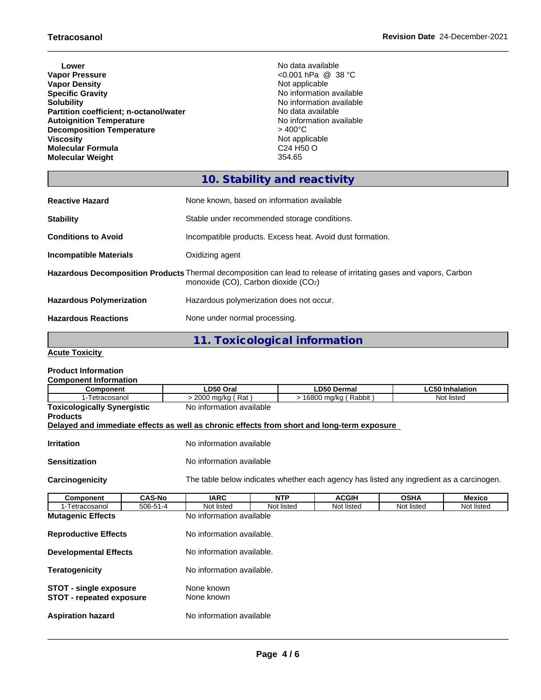- **Lower** No data available **Vapor Pressure** <0.001 hPa @ 38 °C **Vapor Density<br>Specific Gravity Specific Gravity**<br> **Solubility**<br> **Solubility**<br> **No** information available<br>
No information available **Partition coefficient; n-octanol/water** No data available North available Autoignition Temperature **Autoignition Temperature**<br> **Decomposition Temperature**  $\rightarrow$  400°C **Decomposition Temperature**<br>Viscosity **Molecular Formula** C24 H50 O **Molecular Weight** 
	- No information available<br>No data available Not applicable<br>C24 H50 O

# **10. Stability and reactivity**

| <b>Reactive Hazard</b>          | None known, based on information available                                                                                                                    |
|---------------------------------|---------------------------------------------------------------------------------------------------------------------------------------------------------------|
| <b>Stability</b>                | Stable under recommended storage conditions.                                                                                                                  |
| <b>Conditions to Avoid</b>      | Incompatible products. Excess heat. Avoid dust formation.                                                                                                     |
| <b>Incompatible Materials</b>   | Oxidizing agent                                                                                                                                               |
|                                 | Hazardous Decomposition Products Thermal decomposition can lead to release of irritating gases and vapors, Carbon<br>monoxide $(CO)$ , Carbon dioxide $(CO2)$ |
| <b>Hazardous Polymerization</b> | Hazardous polymerization does not occur.                                                                                                                      |
| <b>Hazardous Reactions</b>      | None under normal processing.                                                                                                                                 |

**11. Toxicological information**

**Acute Toxicity**

# **Product Information**

| <b>Component Information</b>                                     |                                                                |                           |                                                            |                                                                                            |             |                        |  |  |
|------------------------------------------------------------------|----------------------------------------------------------------|---------------------------|------------------------------------------------------------|--------------------------------------------------------------------------------------------|-------------|------------------------|--|--|
| <b>Component</b>                                                 |                                                                | LD50 Oral                 |                                                            | <b>LD50 Dermal</b>                                                                         |             | <b>LC50 Inhalation</b> |  |  |
| 1-Tetracosanol                                                   |                                                                |                           | > 16800 mg/kg (Rabbit)<br>Not listed<br>> 2000 mg/kg (Rat) |                                                                                            |             |                        |  |  |
|                                                                  | <b>Toxicologically Synergistic</b><br>No information available |                           |                                                            |                                                                                            |             |                        |  |  |
| <b>Products</b>                                                  |                                                                |                           |                                                            |                                                                                            |             |                        |  |  |
|                                                                  |                                                                |                           |                                                            | Delayed and immediate effects as well as chronic effects from short and long-term exposure |             |                        |  |  |
| <b>Irritation</b>                                                |                                                                | No information available  |                                                            |                                                                                            |             |                        |  |  |
| <b>Sensitization</b>                                             |                                                                | No information available  |                                                            |                                                                                            |             |                        |  |  |
| Carcinogenicity                                                  |                                                                |                           |                                                            | The table below indicates whether each agency has listed any ingredient as a carcinogen.   |             |                        |  |  |
| Component                                                        | <b>CAS-No</b>                                                  | <b>IARC</b>               | <b>NTP</b>                                                 | <b>ACGIH</b>                                                                               | <b>OSHA</b> | <b>Mexico</b>          |  |  |
| 1-Tetracosanol                                                   | 506-51-4                                                       | Not listed                | Not listed                                                 | Not listed                                                                                 | Not listed  | Not listed             |  |  |
| <b>Mutagenic Effects</b>                                         |                                                                | No information available  |                                                            |                                                                                            |             |                        |  |  |
| <b>Reproductive Effects</b>                                      |                                                                | No information available. |                                                            |                                                                                            |             |                        |  |  |
| <b>Developmental Effects</b>                                     |                                                                |                           | No information available.                                  |                                                                                            |             |                        |  |  |
| <b>Teratogenicity</b>                                            |                                                                | No information available. |                                                            |                                                                                            |             |                        |  |  |
| <b>STOT - single exposure</b><br><b>STOT - repeated exposure</b> |                                                                | None known<br>None known  |                                                            |                                                                                            |             |                        |  |  |
| <b>Aspiration hazard</b>                                         |                                                                | No information available  |                                                            |                                                                                            |             |                        |  |  |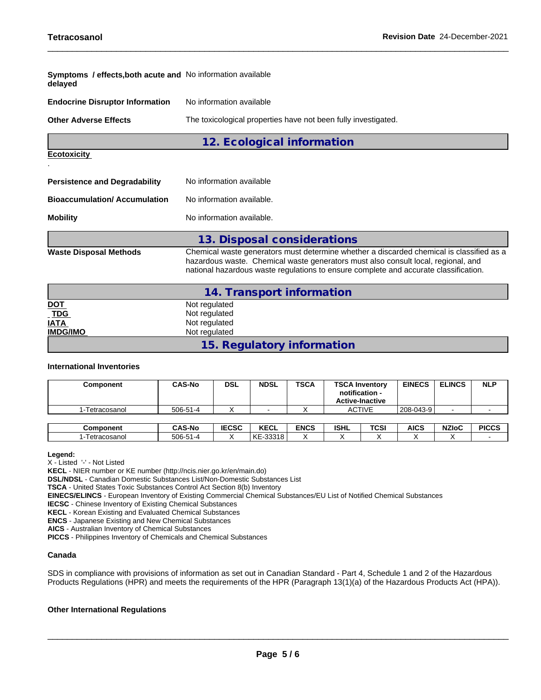| <b>Symptoms / effects, both acute and No information available</b><br>delayed |                                                                                                                                                                                                                                                                       |  |  |  |  |
|-------------------------------------------------------------------------------|-----------------------------------------------------------------------------------------------------------------------------------------------------------------------------------------------------------------------------------------------------------------------|--|--|--|--|
| <b>Endocrine Disruptor Information</b>                                        | No information available                                                                                                                                                                                                                                              |  |  |  |  |
| <b>Other Adverse Effects</b>                                                  | The toxicological properties have not been fully investigated.                                                                                                                                                                                                        |  |  |  |  |
|                                                                               | 12. Ecological information                                                                                                                                                                                                                                            |  |  |  |  |
| <b>Ecotoxicity</b>                                                            |                                                                                                                                                                                                                                                                       |  |  |  |  |
| <b>Persistence and Degradability</b>                                          | No information available                                                                                                                                                                                                                                              |  |  |  |  |
| <b>Bioaccumulation/Accumulation</b>                                           | No information available.                                                                                                                                                                                                                                             |  |  |  |  |
| <b>Mobility</b>                                                               | No information available.                                                                                                                                                                                                                                             |  |  |  |  |
|                                                                               | 13. Disposal considerations                                                                                                                                                                                                                                           |  |  |  |  |
| <b>Waste Disposal Methods</b>                                                 | Chemical waste generators must determine whether a discarded chemical is classified as a<br>hazardous waste. Chemical waste generators must also consult local, regional, and<br>national hazardous waste regulations to ensure complete and accurate classification. |  |  |  |  |
|                                                                               | 14. Transport information                                                                                                                                                                                                                                             |  |  |  |  |
| <b>DOT</b>                                                                    | Not regulated                                                                                                                                                                                                                                                         |  |  |  |  |
| <b>TDG</b>                                                                    | Not regulated                                                                                                                                                                                                                                                         |  |  |  |  |
| <b>IATA</b>                                                                   | Not regulated                                                                                                                                                                                                                                                         |  |  |  |  |
| <b>IMDG/IMO</b>                                                               | Not regulated                                                                                                                                                                                                                                                         |  |  |  |  |

**15. Regulatory information**

#### **International Inventories**

| Component      | <b>CAS-No</b> | <b>DSL</b>   | <b>NDSL</b> | <b>TSCA</b> | <b>TSCA Inventory</b><br>notification -<br><b>Active-Inactive</b> | <b>EINECS</b> | <b>ELINCS</b>    | <b>NLP</b>   |
|----------------|---------------|--------------|-------------|-------------|-------------------------------------------------------------------|---------------|------------------|--------------|
| l-Tetracosanol | 506-51-4      |              |             |             | <b>ACTIVE</b>                                                     | 208-043-9     |                  |              |
| "annann        | CAC No.       | <b>IECCC</b> | <b>KECI</b> | <b>ENCC</b> | ונוסו<br><b>TCCL</b>                                              | AICC.         | NZL <sub>0</sub> | <b>DICCC</b> |

| $506 - 51$<br>$\sim 10^{-1}$<br>22210<br>Tetracosanol<br>ำ –∠⊥<br>0 د د د<br>ົ∿∟ |
|----------------------------------------------------------------------------------|
|                                                                                  |

#### **Legend:**

X - Listed '-' - Not Listed

**KECL** - NIER number or KE number (http://ncis.nier.go.kr/en/main.do)

**DSL/NDSL** - Canadian Domestic Substances List/Non-Domestic Substances List

**TSCA** - United States Toxic Substances Control Act Section 8(b) Inventory

**EINECS/ELINCS** - European Inventory of Existing Commercial Chemical Substances/EU List of Notified Chemical Substances

**IECSC** - Chinese Inventory of Existing Chemical Substances

**KECL** - Korean Existing and Evaluated Chemical Substances

**ENCS** - Japanese Existing and New Chemical Substances

**AICS** - Australian Inventory of Chemical Substances

**PICCS** - Philippines Inventory of Chemicals and Chemical Substances

#### **Canada**

SDS in compliance with provisions of information as set out in Canadian Standard - Part 4, Schedule 1 and 2 of the Hazardous Products Regulations (HPR) and meets the requirements of the HPR (Paragraph 13(1)(a) of the Hazardous Products Act (HPA)).

#### **Other International Regulations**